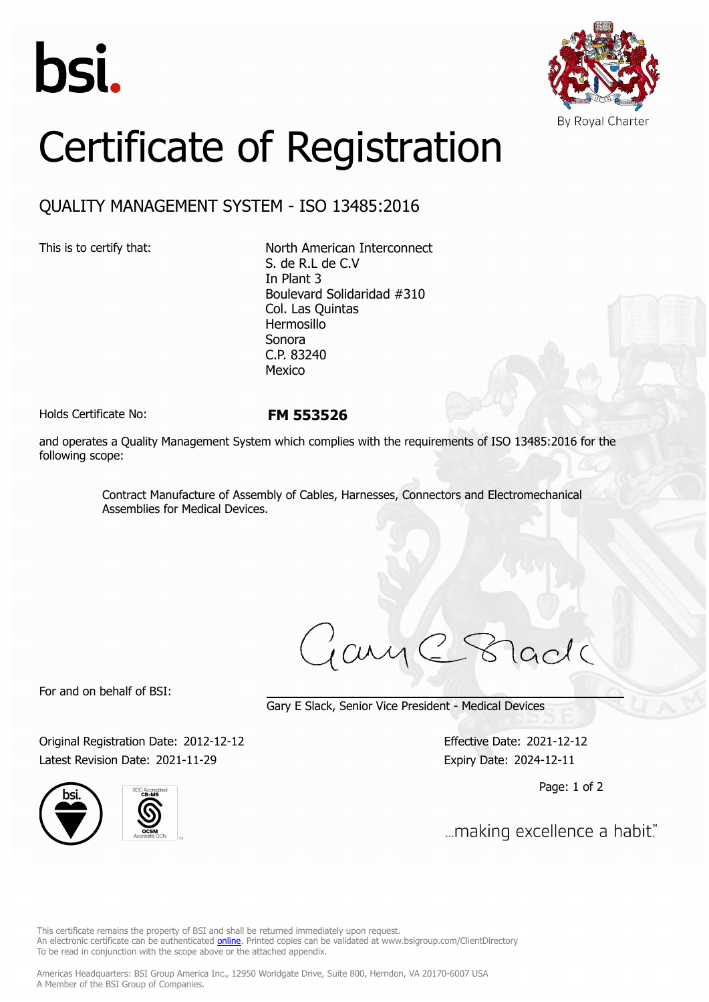



## Certificate of Registration

## QUALITY MANAGEMENT SYSTEM - ISO 13485:2016

This is to certify that: North American Interconnect S. de R.L de C.V In Plant 3 Boulevard Solidaridad #310 Col. Las Quintas Hermosillo Sonora C.P. 83240 Mexico

Holds Certificate No: **FM 553526**

and operates a Quality Management System which complies with the requirements of ISO 13485:2016 for the following scope:

> Contract Manufacture of Assembly of Cables, Harnesses, Connectors and Electromechanical Assemblies for Medical Devices.

ary  $lcdc$ 

For and on behalf of BSI:

Gary E Slack, Senior Vice President - Medical Devices

Original Registration Date: 2012-12-12 Effective Date: 2021-12-12 Latest Revision Date: 2021-11-29 Expiry Date: 2024-12-11





Page: 1 of 2

... making excellence a habit."

This certificate remains the property of BSI and shall be returned immediately upon request. An electronic certificate can be authenticated *[online](https://pgplus.bsigroup.com/CertificateValidation/CertificateValidator.aspx?CertificateNumber=FM+553526&ReIssueDate=29%2f11%2f2021&Template=inc)*. Printed copies can be validated at www.bsigroup.com/ClientDirectory To be read in conjunction with the scope above or the attached appendix.

Americas Headquarters: BSI Group America Inc., 12950 Worldgate Drive, Suite 800, Herndon, VA 20170-6007 USA A Member of the BSI Group of Companies.